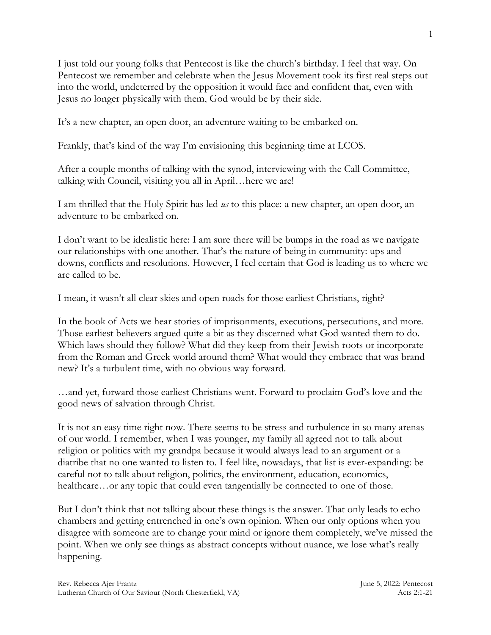I just told our young folks that Pentecost is like the church's birthday. I feel that way. On Pentecost we remember and celebrate when the Jesus Movement took its first real steps out into the world, undeterred by the opposition it would face and confident that, even with Jesus no longer physically with them, God would be by their side.

It's a new chapter, an open door, an adventure waiting to be embarked on.

Frankly, that's kind of the way I'm envisioning this beginning time at LCOS.

After a couple months of talking with the synod, interviewing with the Call Committee, talking with Council, visiting you all in April…here we are!

I am thrilled that the Holy Spirit has led *us* to this place: a new chapter, an open door, an adventure to be embarked on.

I don't want to be idealistic here: I am sure there will be bumps in the road as we navigate our relationships with one another. That's the nature of being in community: ups and downs, conflicts and resolutions. However, I feel certain that God is leading us to where we are called to be.

I mean, it wasn't all clear skies and open roads for those earliest Christians, right?

In the book of Acts we hear stories of imprisonments, executions, persecutions, and more. Those earliest believers argued quite a bit as they discerned what God wanted them to do. Which laws should they follow? What did they keep from their Jewish roots or incorporate from the Roman and Greek world around them? What would they embrace that was brand new? It's a turbulent time, with no obvious way forward.

…and yet, forward those earliest Christians went. Forward to proclaim God's love and the good news of salvation through Christ.

It is not an easy time right now. There seems to be stress and turbulence in so many arenas of our world. I remember, when I was younger, my family all agreed not to talk about religion or politics with my grandpa because it would always lead to an argument or a diatribe that no one wanted to listen to. I feel like, nowadays, that list is ever-expanding: be careful not to talk about religion, politics, the environment, education, economics, healthcare…or any topic that could even tangentially be connected to one of those.

But I don't think that not talking about these things is the answer. That only leads to echo chambers and getting entrenched in one's own opinion. When our only options when you disagree with someone are to change your mind or ignore them completely, we've missed the point. When we only see things as abstract concepts without nuance, we lose what's really happening.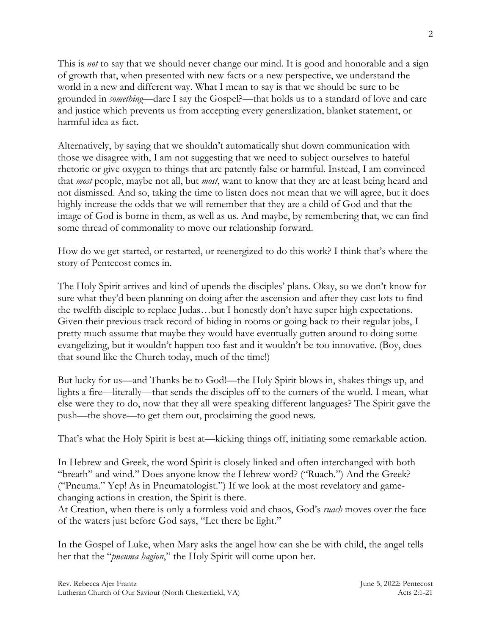This is *not* to say that we should never change our mind. It is good and honorable and a sign of growth that, when presented with new facts or a new perspective, we understand the world in a new and different way. What I mean to say is that we should be sure to be grounded in *something*—dare I say the Gospel?—that holds us to a standard of love and care and justice which prevents us from accepting every generalization, blanket statement, or harmful idea as fact.

Alternatively, by saying that we shouldn't automatically shut down communication with those we disagree with, I am not suggesting that we need to subject ourselves to hateful rhetoric or give oxygen to things that are patently false or harmful. Instead, I am convinced that *most* people, maybe not all, but *most*, want to know that they are at least being heard and not dismissed. And so, taking the time to listen does not mean that we will agree, but it does highly increase the odds that we will remember that they are a child of God and that the image of God is borne in them, as well as us. And maybe, by remembering that, we can find some thread of commonality to move our relationship forward.

How do we get started, or restarted, or reenergized to do this work? I think that's where the story of Pentecost comes in.

The Holy Spirit arrives and kind of upends the disciples' plans. Okay, so we don't know for sure what they'd been planning on doing after the ascension and after they cast lots to find the twelfth disciple to replace Judas…but I honestly don't have super high expectations. Given their previous track record of hiding in rooms or going back to their regular jobs, I pretty much assume that maybe they would have eventually gotten around to doing some evangelizing, but it wouldn't happen too fast and it wouldn't be too innovative. (Boy, does that sound like the Church today, much of the time!)

But lucky for us—and Thanks be to God!—the Holy Spirit blows in, shakes things up, and lights a fire—literally—that sends the disciples off to the corners of the world. I mean, what else were they to do, now that they all were speaking different languages? The Spirit gave the push—the shove—to get them out, proclaiming the good news.

That's what the Holy Spirit is best at—kicking things off, initiating some remarkable action.

In Hebrew and Greek, the word Spirit is closely linked and often interchanged with both "breath" and wind." Does anyone know the Hebrew word? ("Ruach.") And the Greek? ("Pneuma." Yep! As in Pneumatologist.") If we look at the most revelatory and gamechanging actions in creation, the Spirit is there.

At Creation, when there is only a formless void and chaos, God's *ruach* moves over the face of the waters just before God says, "Let there be light."

In the Gospel of Luke, when Mary asks the angel how can she be with child, the angel tells her that the "*pneuma hagion*," the Holy Spirit will come upon her.